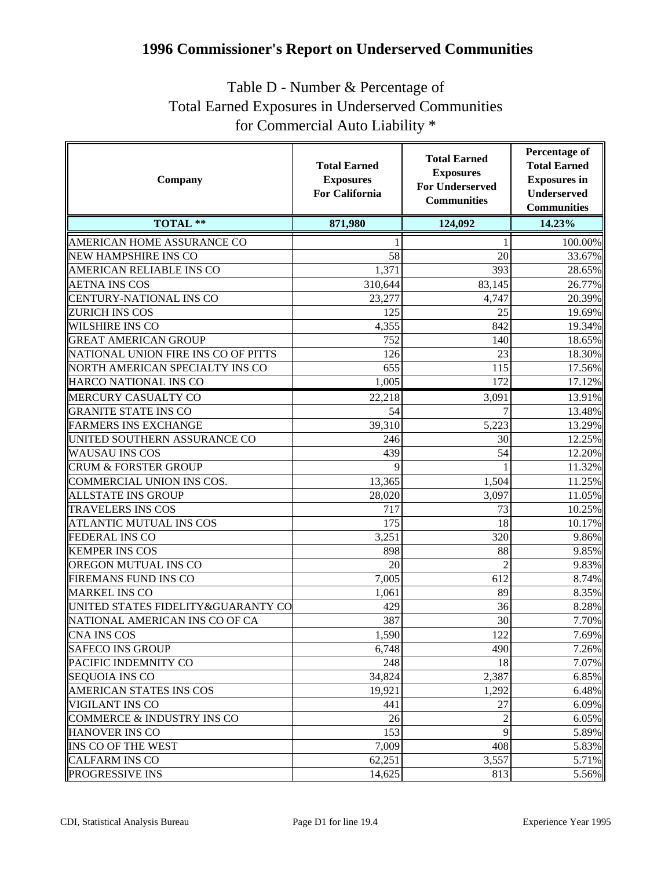## **1996 Commissioner's Report on Underserved Communities**

## Table D - Number & Percentage of Total Earned Exposures in Underserved Communities for Commercial Auto Liability \*

| Company                             | <b>Total Earned</b><br><b>Exposures</b><br><b>For California</b> | <b>Total Earned</b><br><b>Exposures</b><br><b>For Underserved</b><br><b>Communities</b> | Percentage of<br><b>Total Earned</b><br><b>Exposures</b> in<br><b>Underserved</b><br><b>Communities</b> |
|-------------------------------------|------------------------------------------------------------------|-----------------------------------------------------------------------------------------|---------------------------------------------------------------------------------------------------------|
| <b>TOTAL **</b>                     | 871,980                                                          | 124,092                                                                                 | 14.23%                                                                                                  |
| AMERICAN HOME ASSURANCE CO          |                                                                  | 1                                                                                       | 100.00%                                                                                                 |
| NEW HAMPSHIRE INS CO                | 58                                                               | 20                                                                                      | 33.67%                                                                                                  |
| AMERICAN RELIABLE INS CO            | 1,371                                                            | 393                                                                                     | 28.65%                                                                                                  |
| <b>AETNA INS COS</b>                | 310,644                                                          | 83,145                                                                                  | 26.77%                                                                                                  |
| CENTURY-NATIONAL INS CO             | 23,277                                                           | 4,747                                                                                   | 20.39%                                                                                                  |
| ZURICH INS COS                      | 125                                                              | 25                                                                                      | 19.69%                                                                                                  |
| <b>WILSHIRE INS CO</b>              | 4,355                                                            | 842                                                                                     | 19.34%                                                                                                  |
| <b>GREAT AMERICAN GROUP</b>         | 752                                                              | 140                                                                                     | 18.65%                                                                                                  |
| NATIONAL UNION FIRE INS CO OF PITTS | 126                                                              | 23                                                                                      | 18.30%                                                                                                  |
| NORTH AMERICAN SPECIALTY INS CO     | 655                                                              | 115                                                                                     | 17.56%                                                                                                  |
| HARCO NATIONAL INS CO               | 1,005                                                            | 172                                                                                     | 17.12%                                                                                                  |
| MERCURY CASUALTY CO                 | 22,218                                                           | 3,091                                                                                   | 13.91%                                                                                                  |
| <b>GRANITE STATE INS CO</b>         | 54                                                               | 7                                                                                       | 13.48%                                                                                                  |
| <b>FARMERS INS EXCHANGE</b>         | 39,310                                                           | 5,223                                                                                   | 13.29%                                                                                                  |
| UNITED SOUTHERN ASSURANCE CO        | 246                                                              | 30                                                                                      | 12.25%                                                                                                  |
| <b>WAUSAU INS COS</b>               | 439                                                              | 54                                                                                      | 12.20%                                                                                                  |
| <b>CRUM &amp; FORSTER GROUP</b>     |                                                                  |                                                                                         | 11.32%                                                                                                  |
| COMMERCIAL UNION INS COS.           | 13,365                                                           | 1,504                                                                                   | 11.25%                                                                                                  |
| <b>ALLSTATE INS GROUP</b>           | 28,020                                                           | 3,097                                                                                   | 11.05%                                                                                                  |
| <b>TRAVELERS INS COS</b>            | 717                                                              | 73                                                                                      | 10.25%                                                                                                  |
| <b>ATLANTIC MUTUAL INS COS</b>      | 175                                                              | 18                                                                                      | 10.17%                                                                                                  |
| FEDERAL INS CO                      | 3,251                                                            | 320                                                                                     | 9.86%                                                                                                   |
| <b>KEMPER INS COS</b>               | 898                                                              | 88                                                                                      | 9.85%                                                                                                   |
| OREGON MUTUAL INS CO                | 20                                                               | $\overline{2}$                                                                          | 9.83%                                                                                                   |
| <b>FIREMANS FUND INS CO</b>         | 7,005                                                            | 612                                                                                     | 8.74%                                                                                                   |
| <b>MARKEL INS CO</b>                | 1,061                                                            | 89                                                                                      | 8.35%                                                                                                   |
| UNITED STATES FIDELITY&GUARANTY CO  | 429                                                              | 36                                                                                      | 8.28%                                                                                                   |
| NATIONAL AMERICAN INS CO OF CA      | 387                                                              | 30                                                                                      | 7.70%                                                                                                   |
| CNA INS COS                         | 1,590                                                            | 122                                                                                     | 7.69%                                                                                                   |
| <b>SAFECO INS GROUP</b>             | 6,748                                                            | 490                                                                                     | 7.26%                                                                                                   |
| PACIFIC INDEMNITY CO                | 248                                                              | 18                                                                                      | 7.07%                                                                                                   |
| <b>SEQUOIA INS CO</b>               | 34,824                                                           | 2,387                                                                                   | 6.85%                                                                                                   |
| AMERICAN STATES INS COS             | 19,921                                                           | 1,292                                                                                   | 6.48%                                                                                                   |
| VIGILANT INS CO                     | 441                                                              | 27                                                                                      | 6.09%                                                                                                   |
| COMMERCE & INDUSTRY INS CO          | 26                                                               |                                                                                         | 6.05%                                                                                                   |
| <b>HANOVER INS CO</b>               | 153                                                              | 9                                                                                       | 5.89%                                                                                                   |
| <b>INS CO OF THE WEST</b>           | 7,009                                                            | 408                                                                                     | 5.83%                                                                                                   |
| <b>CALFARM INS CO</b>               | 62,251                                                           | 3,557                                                                                   | 5.71%                                                                                                   |
| PROGRESSIVE INS                     | 14,625                                                           | 813                                                                                     | 5.56%                                                                                                   |